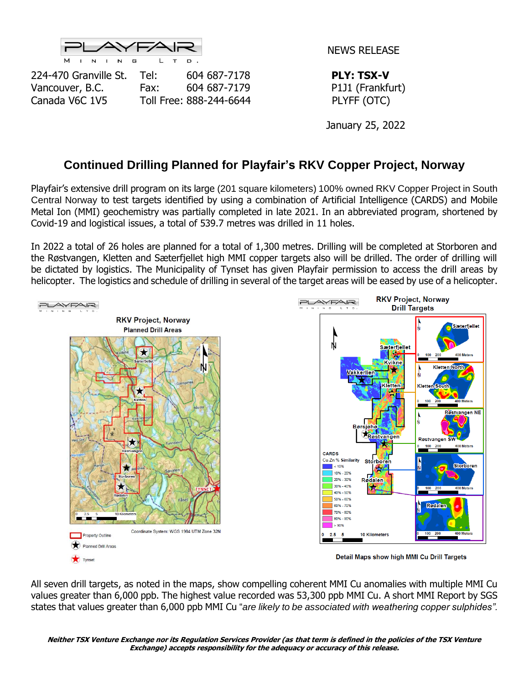

NEWS RELEASE

224-470 Granville St. Tel: 604 687-7178 **PLY: TSX-V** Vancouver, B.C. Fax: 604 687-7179 P1J1 (Frankfurt) Canada V6C 1V5 Toll Free: 888-244-6644 PLYFF (OTC)

January 25, 2022

## **Continued Drilling Planned for Playfair's RKV Copper Project, Norway**

Playfair's extensive drill program on its large (201 square kilometers) 100% owned RKV Copper Project in South Central Norway to test targets identified by using a combination of Artificial Intelligence (CARDS) and Mobile Metal Ion (MMI) geochemistry was partially completed in late 2021. In an abbreviated program, shortened by Covid-19 and logistical issues, a total of 539.7 metres was drilled in 11 holes.

In 2022 a total of 26 holes are planned for a total of 1,300 metres. Drilling will be completed at Storboren and the Røstvangen, Kletten and Sæterfjellet high MMI copper targets also will be drilled. The order of drilling will be dictated by logistics. The Municipality of Tynset has given Playfair permission to access the drill areas by helicopter. The logistics and schedule of drilling in several of the target areas will be eased by use of a helicopter.



All seven drill targets, as noted in the maps, show compelling coherent MMI Cu anomalies with multiple MMI Cu values greater than 6,000 ppb. The highest value recorded was 53,300 ppb MMI Cu. A short MMI Report by SGS states that values greater than 6,000 ppb MMI Cu "*are likely to be associated with weathering copper sulphides".*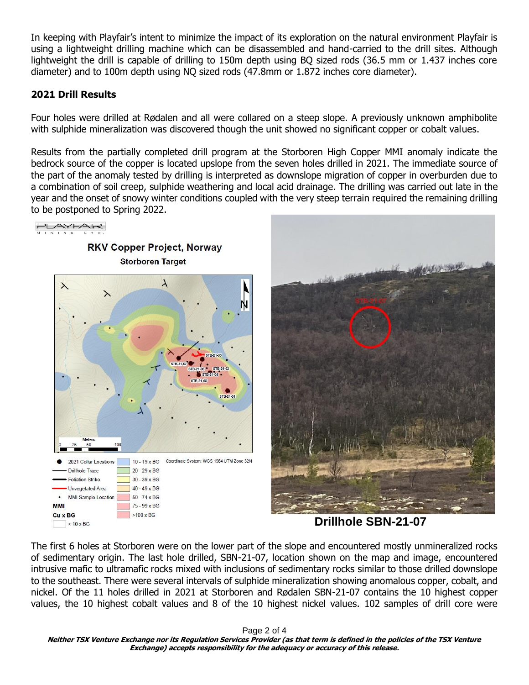In keeping with Playfair's intent to minimize the impact of its exploration on the natural environment Playfair is using a lightweight drilling machine which can be disassembled and hand-carried to the drill sites. Although lightweight the drill is capable of drilling to 150m depth using BQ sized rods (36.5 mm or 1.437 inches core diameter) and to 100m depth using NQ sized rods (47.8mm or 1.872 inches core diameter).

## **2021 Drill Results**

Four holes were drilled at Rødalen and all were collared on a steep slope. A previously unknown amphibolite with sulphide mineralization was discovered though the unit showed no significant copper or cobalt values.

Results from the partially completed drill program at the Storboren High Copper MMI anomaly indicate the bedrock source of the copper is located upslope from the seven holes drilled in 2021. The immediate source of the part of the anomaly tested by drilling is interpreted as downslope migration of copper in overburden due to a combination of soil creep, sulphide weathering and local acid drainage. The drilling was carried out late in the year and the onset of snowy winter conditions coupled with the very steep terrain required the remaining drilling to be postponed to Spring 2022.





 **Drillhole SBN-21-07**

The first 6 holes at Storboren were on the lower part of the slope and encountered mostly unmineralized rocks of sedimentary origin. The last hole drilled, SBN-21-07, location shown on the map and image, encountered intrusive mafic to ultramafic rocks mixed with inclusions of sedimentary rocks similar to those drilled downslope to the southeast. There were several intervals of sulphide mineralization showing anomalous copper, cobalt, and nickel. Of the 11 holes drilled in 2021 at Storboren and Rødalen SBN-21-07 contains the 10 highest copper values, the 10 highest cobalt values and 8 of the 10 highest nickel values. 102 samples of drill core were

Page 2 of 4

**Neither TSX Venture Exchange nor its Regulation Services Provider (as that term is defined in the policies of the TSX Venture Exchange) accepts responsibility for the adequacy or accuracy of this release.**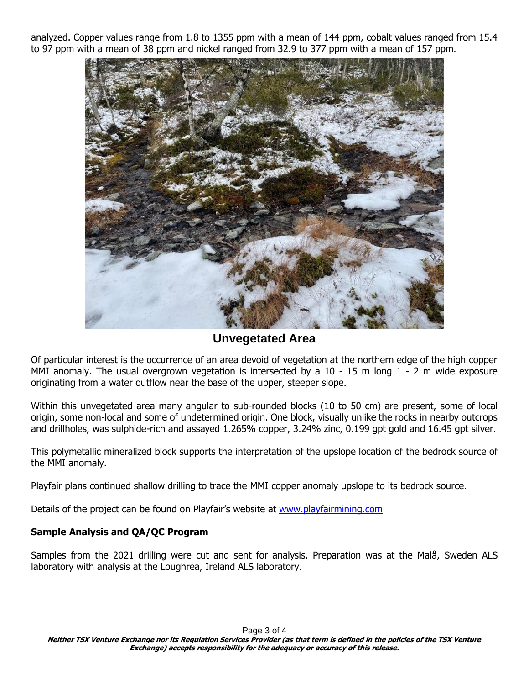analyzed. Copper values range from 1.8 to 1355 ppm with a mean of 144 ppm, cobalt values ranged from 15.4 to 97 ppm with a mean of 38 ppm and nickel ranged from 32.9 to 377 ppm with a mean of 157 ppm.



**Unvegetated Area**

Of particular interest is the occurrence of an area devoid of vegetation at the northern edge of the high copper MMI anomaly. The usual overgrown vegetation is intersected by a 10 - 15 m long 1 - 2 m wide exposure originating from a water outflow near the base of the upper, steeper slope.

Within this unvegetated area many angular to sub-rounded blocks (10 to 50 cm) are present, some of local origin, some non-local and some of undetermined origin. One block, visually unlike the rocks in nearby outcrops and drillholes, was sulphide-rich and assayed 1.265% copper, 3.24% zinc, 0.199 gpt gold and 16.45 gpt silver.

This polymetallic mineralized block supports the interpretation of the upslope location of the bedrock source of the MMI anomaly.

Playfair plans continued shallow drilling to trace the MMI copper anomaly upslope to its bedrock source.

Details of the project can be found on Playfair's website at [www.playfairmining.com](http://www.playfairmining.com/)

## **Sample Analysis and QA/QC Program**

Samples from the 2021 drilling were cut and sent for analysis. Preparation was at the Malå, Sweden ALS laboratory with analysis at the Loughrea, Ireland ALS laboratory.